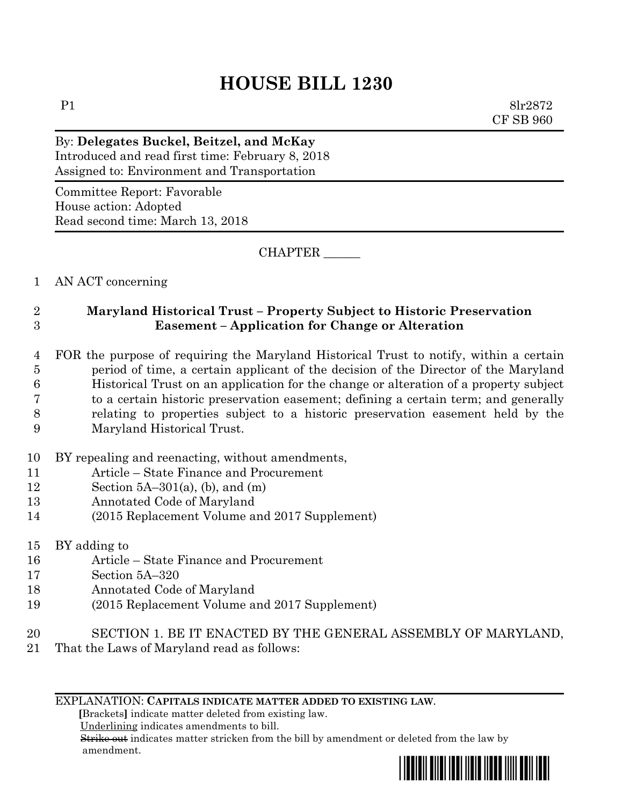# **HOUSE BILL 1230**

P1 8lr2872 CF SB 960

### By: **Delegates Buckel, Beitzel, and McKay** Introduced and read first time: February 8, 2018 Assigned to: Environment and Transportation

Committee Report: Favorable House action: Adopted Read second time: March 13, 2018

CHAPTER \_\_\_\_\_\_

1 AN ACT concerning

## 2 **Maryland Historical Trust – Property Subject to Historic Preservation**  3 **Easement – Application for Change or Alteration**

## 4 FOR the purpose of requiring the Maryland Historical Trust to notify, within a certain 5 period of time, a certain applicant of the decision of the Director of the Maryland 6 Historical Trust on an application for the change or alteration of a property subject 7 to a certain historic preservation easement; defining a certain term; and generally 8 relating to properties subject to a historic preservation easement held by the

- 9 Maryland Historical Trust.
- 10 BY repealing and reenacting, without amendments,
- 11 Article State Finance and Procurement
- 12 Section 5A–301(a), (b), and (m)
- 13 Annotated Code of Maryland
- 14 (2015 Replacement Volume and 2017 Supplement)
- 15 BY adding to
- 16 Article State Finance and Procurement
- 17 Section 5A–320
- 18 Annotated Code of Maryland
- 19 (2015 Replacement Volume and 2017 Supplement)
- 20 SECTION 1. BE IT ENACTED BY THE GENERAL ASSEMBLY OF MARYLAND,
- 21 That the Laws of Maryland read as follows:

#### EXPLANATION: **CAPITALS INDICATE MATTER ADDED TO EXISTING LAW**.

 **[**Brackets**]** indicate matter deleted from existing law.

Underlining indicates amendments to bill.

 Strike out indicates matter stricken from the bill by amendment or deleted from the law by amendment.